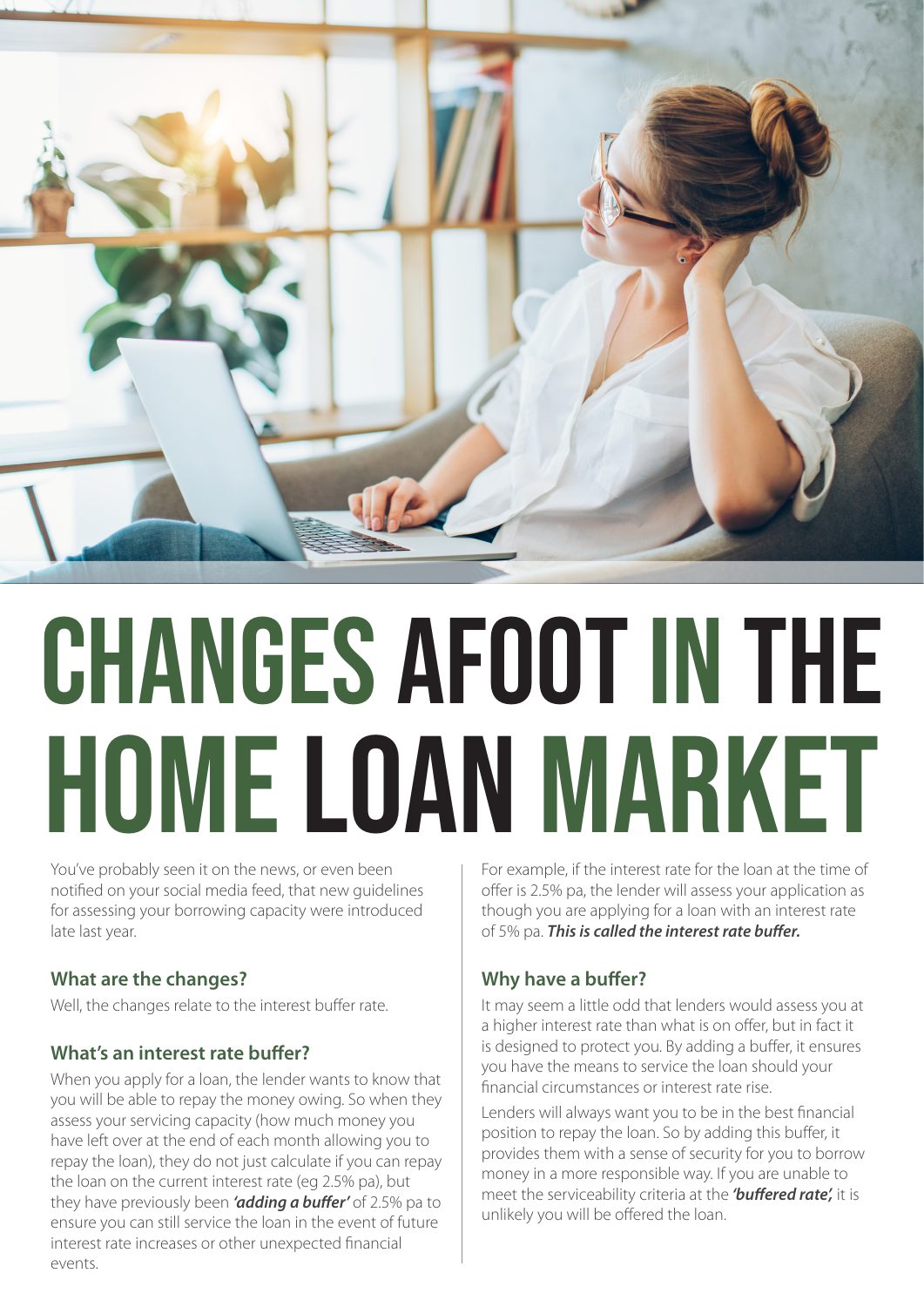

# CHANGES AFOOT IN THE HOME LOAN MARKET

You've probably seen it on the news, or even been notified on your social media feed, that new guidelines for assessing your borrowing capacity were introduced late last year.

# **What are the changes?**

Well, the changes relate to the interest buffer rate.

# **What's an interest rate buffer?**

When you apply for a loan, the lender wants to know that you will be able to repay the money owing. So when they assess your servicing capacity (how much money you have left over at the end of each month allowing you to repay the loan), they do not just calculate if you can repay the loan on the current interest rate (eg 2.5% pa), but they have previously been *'adding a buffer'* of 2.5% pa to ensure you can still service the loan in the event of future interest rate increases or other unexpected financial events.

For example, if the interest rate for the loan at the time of offer is 2.5% pa, the lender will assess your application as though you are applying for a loan with an interest rate of 5% pa. *This is called the interest rate buffer.*

# **Why have a buffer?**

It may seem a little odd that lenders would assess you at a higher interest rate than what is on offer, but in fact it is designed to protect you. By adding a buffer, it ensures you have the means to service the loan should your financial circumstances or interest rate rise.

Lenders will always want you to be in the best financial position to repay the loan. So by adding this buffer, it provides them with a sense of security for you to borrow money in a more responsible way. If you are unable to meet the serviceability criteria at the *'buffered rate',* it is unlikely you will be offered the loan.